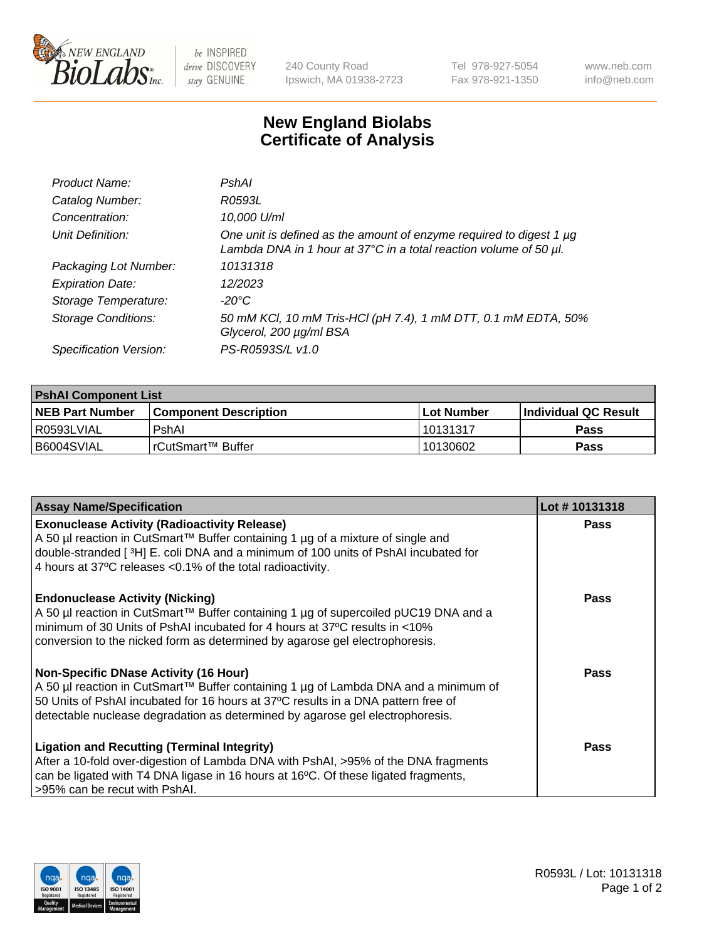

 $be$  INSPIRED drive DISCOVERY stay GENUINE

240 County Road Ipswich, MA 01938-2723 Tel 978-927-5054 Fax 978-921-1350 www.neb.com info@neb.com

## **New England Biolabs Certificate of Analysis**

| Product Name:              | PshAl                                                                                                                                    |
|----------------------------|------------------------------------------------------------------------------------------------------------------------------------------|
| Catalog Number:            | R0593L                                                                                                                                   |
| Concentration:             | 10,000 U/ml                                                                                                                              |
| Unit Definition:           | One unit is defined as the amount of enzyme required to digest 1 µg<br>Lambda DNA in 1 hour at 37°C in a total reaction volume of 50 µl. |
| Packaging Lot Number:      | 10131318                                                                                                                                 |
| <b>Expiration Date:</b>    | 12/2023                                                                                                                                  |
| Storage Temperature:       | -20°C                                                                                                                                    |
| <b>Storage Conditions:</b> | 50 mM KCl, 10 mM Tris-HCl (pH 7.4), 1 mM DTT, 0.1 mM EDTA, 50%<br>Glycerol, 200 µg/ml BSA                                                |
| Specification Version:     | PS-R0593S/L v1.0                                                                                                                         |

| <b>PshAI Component List</b> |                         |              |                             |  |
|-----------------------------|-------------------------|--------------|-----------------------------|--|
| <b>NEB Part Number</b>      | l Component Description | l Lot Number | <b>Individual QC Result</b> |  |
| I R0593LVIAL                | PshAl                   | 10131317     | Pass                        |  |
| B6004SVIAL                  | l rCutSmart™ Buffer_    | 10130602     | Pass                        |  |

| <b>Assay Name/Specification</b>                                                                                                                                                                                                                                                                           | Lot #10131318 |
|-----------------------------------------------------------------------------------------------------------------------------------------------------------------------------------------------------------------------------------------------------------------------------------------------------------|---------------|
| <b>Exonuclease Activity (Radioactivity Release)</b><br>A 50 µl reaction in CutSmart™ Buffer containing 1 µg of a mixture of single and<br>double-stranded [3H] E. coli DNA and a minimum of 100 units of PshAI incubated for<br>4 hours at 37°C releases <0.1% of the total radioactivity.                | Pass          |
| <b>Endonuclease Activity (Nicking)</b><br>A 50 µl reaction in CutSmart™ Buffer containing 1 µg of supercoiled pUC19 DNA and a<br>minimum of 30 Units of PshAI incubated for 4 hours at 37°C results in <10%<br>conversion to the nicked form as determined by agarose gel electrophoresis.                | <b>Pass</b>   |
| <b>Non-Specific DNase Activity (16 Hour)</b><br>A 50 µl reaction in CutSmart™ Buffer containing 1 µg of Lambda DNA and a minimum of<br>50 Units of PshAI incubated for 16 hours at 37°C results in a DNA pattern free of<br>detectable nuclease degradation as determined by agarose gel electrophoresis. | Pass          |
| <b>Ligation and Recutting (Terminal Integrity)</b><br>After a 10-fold over-digestion of Lambda DNA with PshAI, >95% of the DNA fragments<br>can be ligated with T4 DNA ligase in 16 hours at 16°C. Of these ligated fragments,<br>>95% can be recut with PshAI.                                           | Pass          |